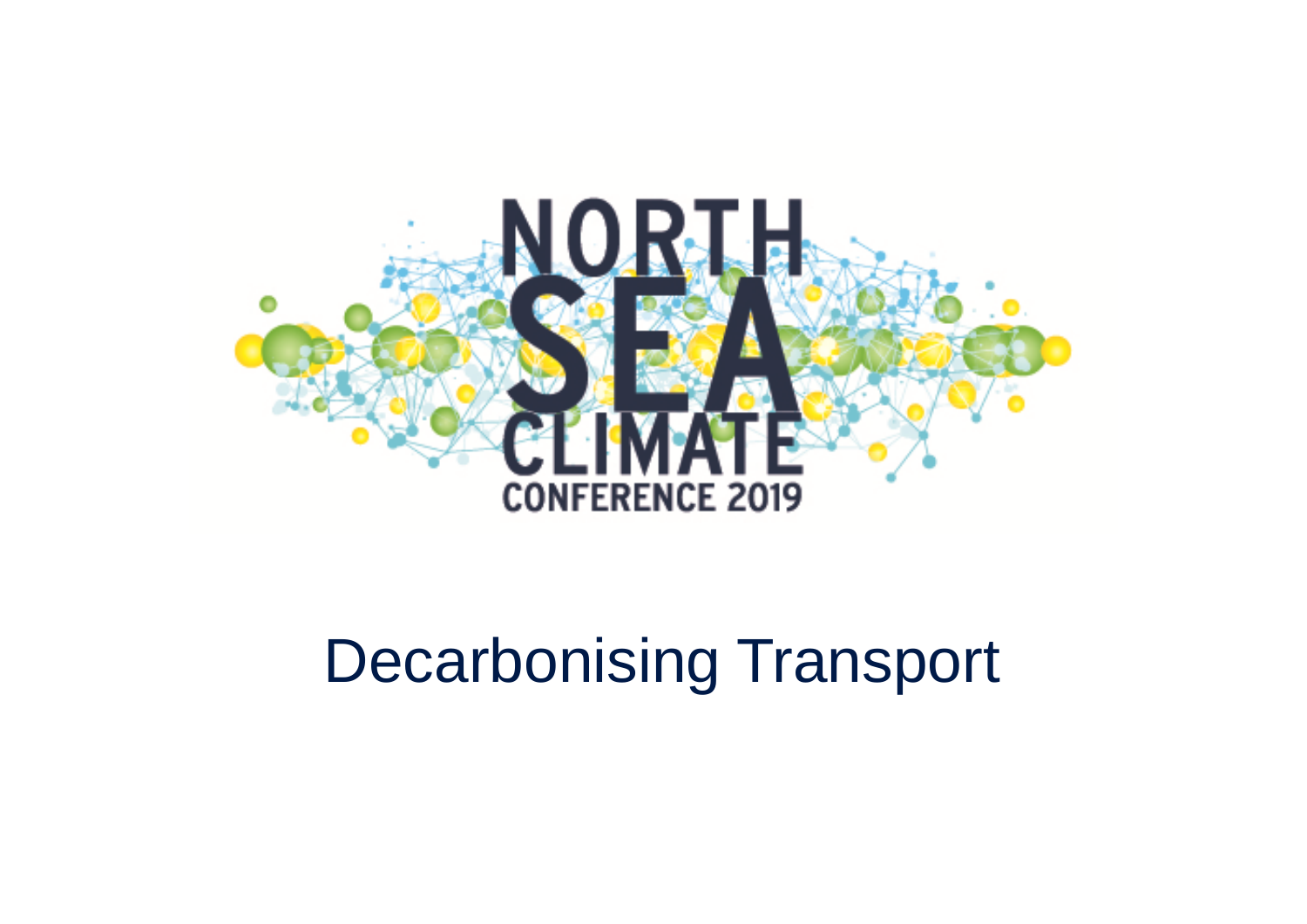

#### Decarbonising Transport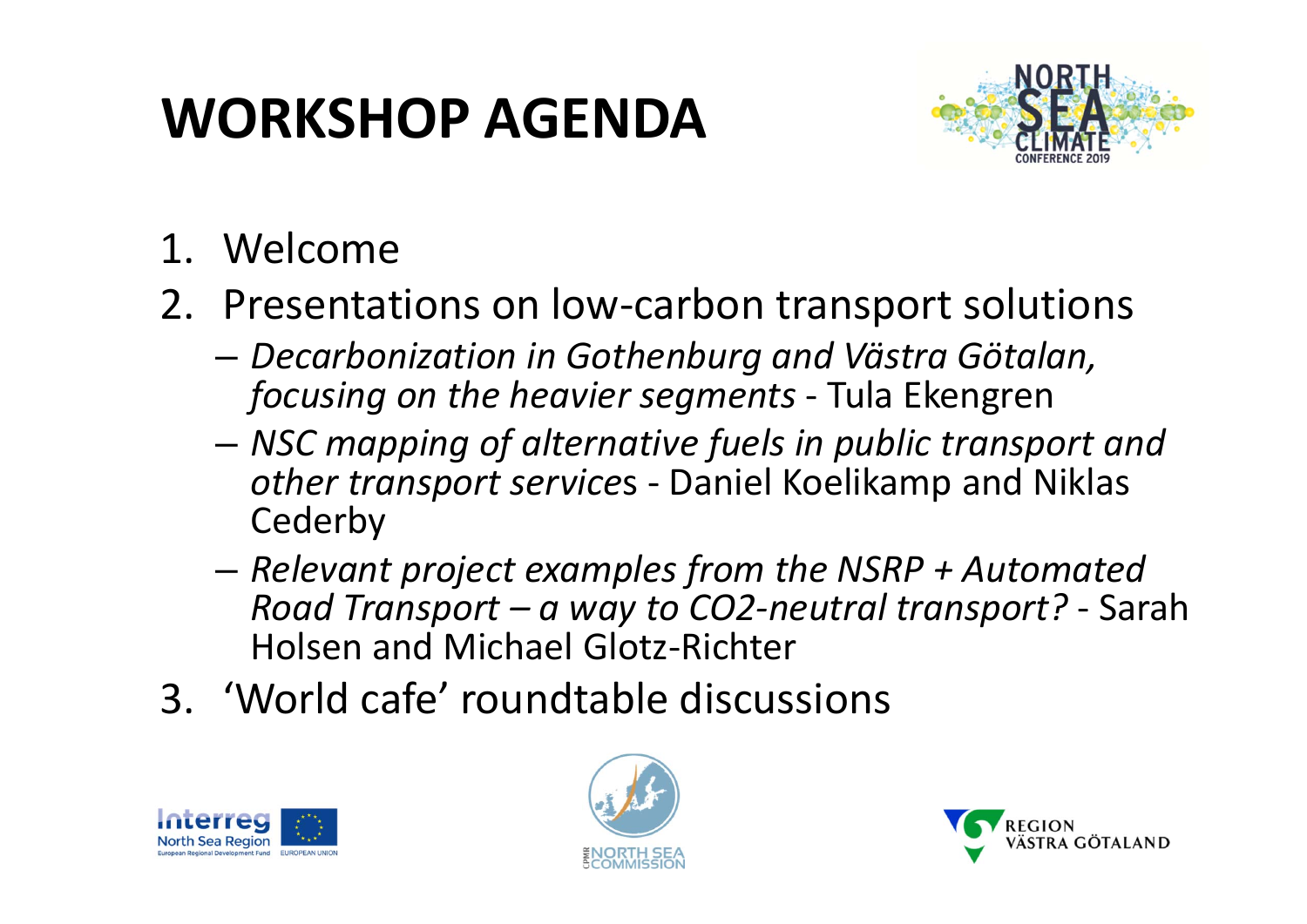#### **WORKSHOP AGENDA**



- 1. Welcome
- 2. Presentations on low‐carbon transport solutions
	- – *Decarbonization in Gothenburg and Västra Götalan, focusing on the heavier segments* ‐ Tula Ekengren
	- – *NSC mapping of alternative fuels in public transport and other transport service*<sup>s</sup> ‐ Daniel Koelikamp and Niklas **Cederby**
	- – *Relevant project examples from the NSRP <sup>+</sup> Automated Road Transport – <sup>a</sup> way to CO2‐neutral transport?* ‐ Sarah Holsen and Michael Glotz‐Richter
- 3. 'World cafe' roundtable discussions





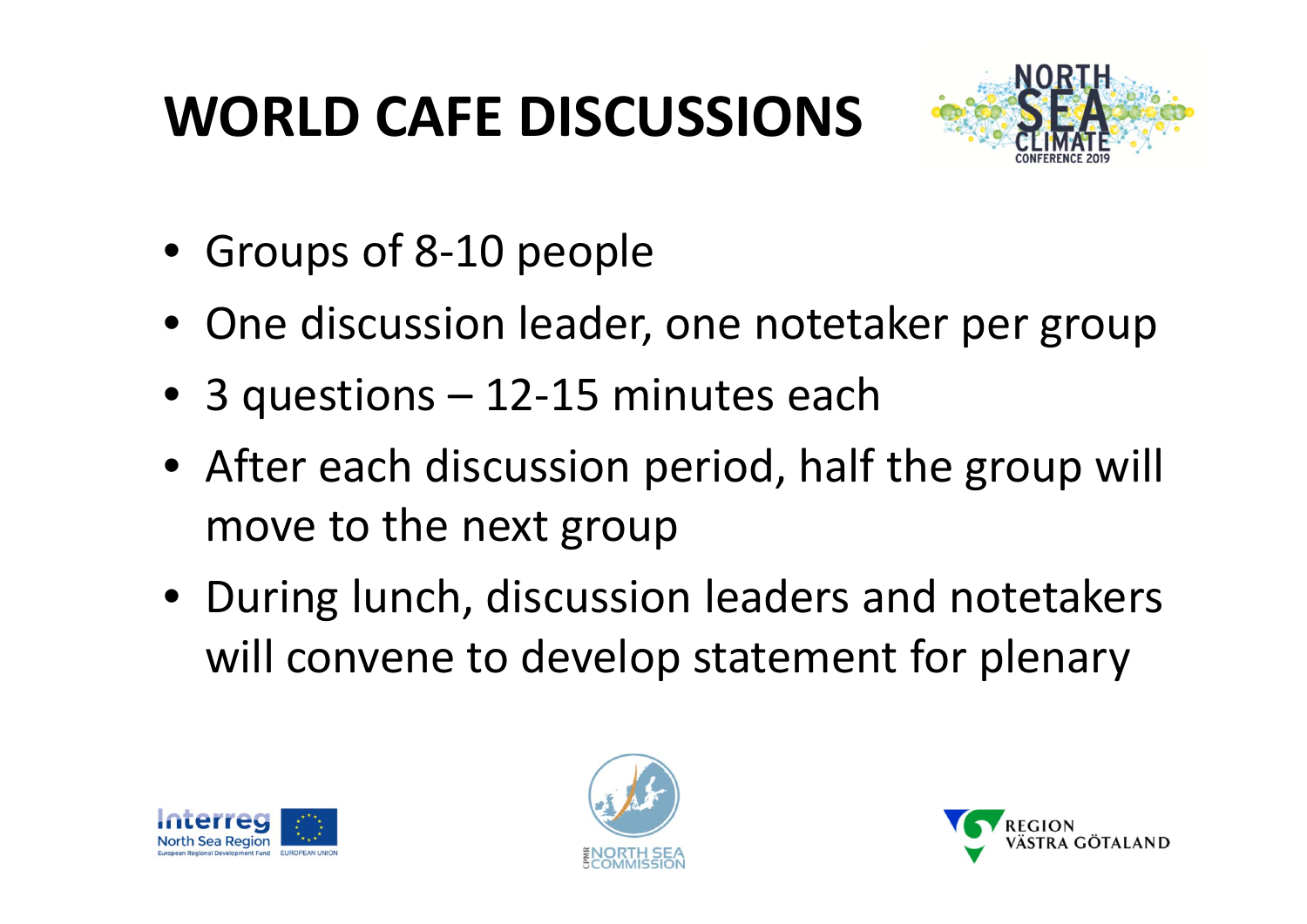# **WORLD CAFE DISCUSSIONS**



- Groups of 8‐10 people
- One discussion leader, one notetaker per group
- 3 questions 12‐15 minutes each
- After each discussion period, half the group will move to the next group
- During lunch, discussion leaders and notetakers will convene to develop statement for plenary





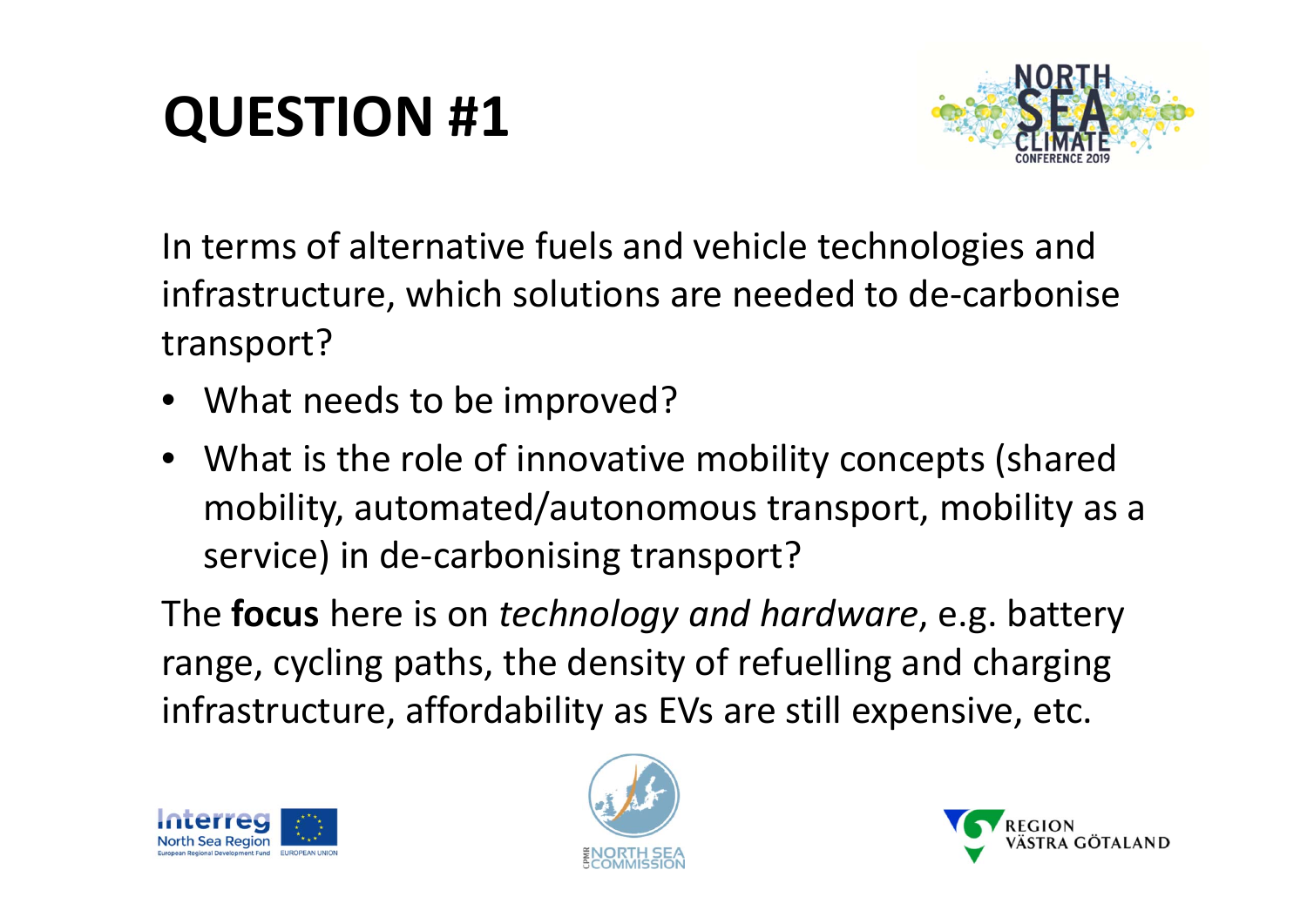# **QUESTION #1**



In terms of alternative fuels and vehicle technologies and infrastructure, which solutions are needed to de‐carbonise transport?

- What needs to be improved?
- What is the role of innovative mobility concepts (shared mobility, automated/autonomous transport, mobility as <sup>a</sup> service) in de-carbonising transport?

The **focus** here is on *technology and hardware*, e.g. battery range, cycling paths, the density of refuelling and charging infrastructure, affordability as EVs are still expensive, etc.





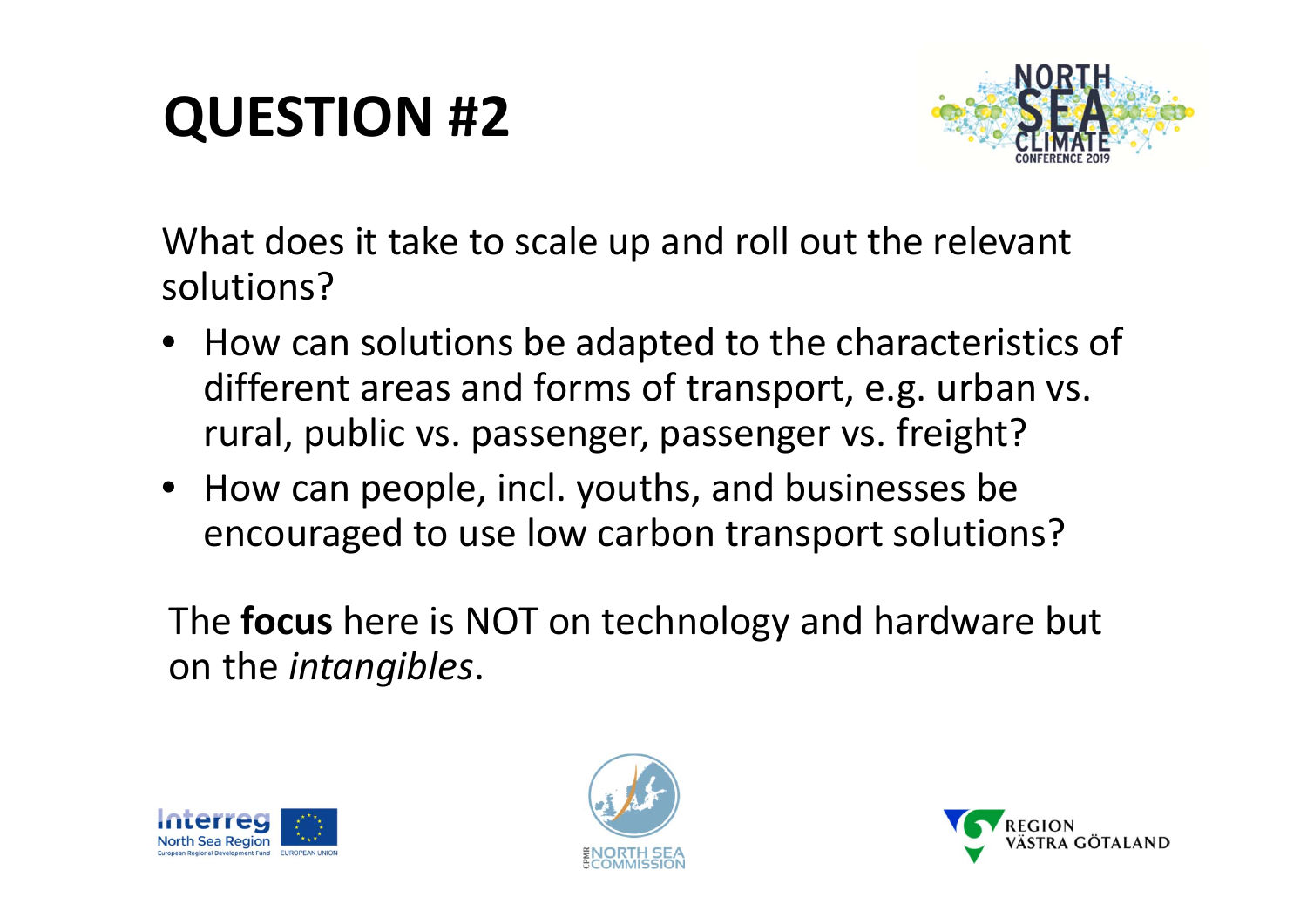### **QUESTION #2**



What does it take to scale up and roll out the relevant solutions?

- How can solutions be adapted to the characteristics of different areas and forms of transport, e.g. urban vs. rural, public vs. passenger, passenger vs. freight?
- How can people, incl. youths, and businesses be encouraged to use low carbon transport solutions?

The **focus** here is NOT on technology and hardware but on the *intangibles*.